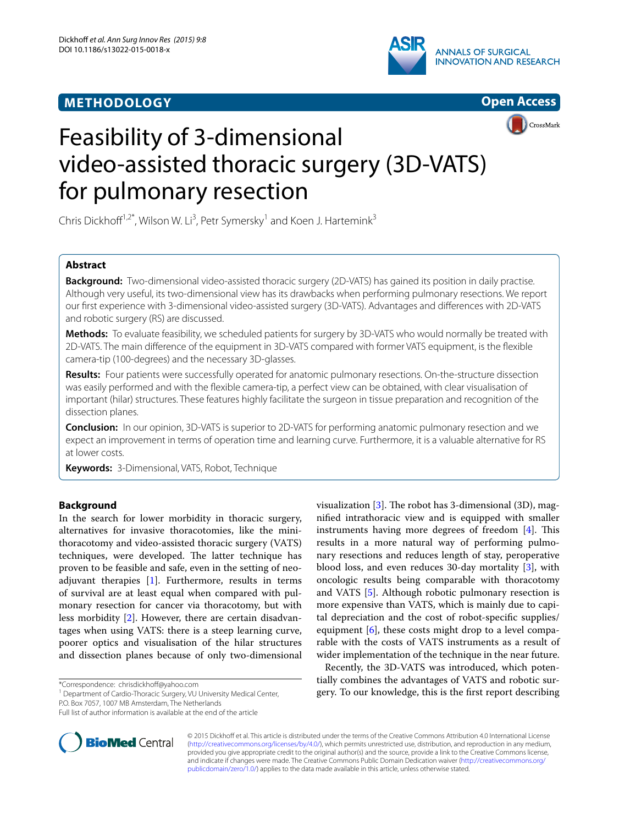## **METHODOLOGY**







# Feasibility of 3-dimensional video-assisted thoracic surgery (3D-VATS) for pulmonary resection

Chris Dickhoff<sup>1,2\*</sup>, Wilson W. Li<sup>3</sup>, Petr Symersky<sup>1</sup> and Koen J. Hartemink<sup>3</sup>

## **Abstract**

**Background:** Two-dimensional video-assisted thoracic surgery (2D-VATS) has gained its position in daily practise. Although very useful, its two-dimensional view has its drawbacks when performing pulmonary resections. We report our first experience with 3-dimensional video-assisted surgery (3D-VATS). Advantages and differences with 2D-VATS and robotic surgery (RS) are discussed.

**Methods:** To evaluate feasibility, we scheduled patients for surgery by 3D-VATS who would normally be treated with 2D-VATS. The main difference of the equipment in 3D-VATS compared with former VATS equipment, is the flexible camera-tip (100-degrees) and the necessary 3D-glasses.

**Results:** Four patients were successfully operated for anatomic pulmonary resections. On-the-structure dissection was easily performed and with the flexible camera-tip, a perfect view can be obtained, with clear visualisation of important (hilar) structures. These features highly facilitate the surgeon in tissue preparation and recognition of the dissection planes.

**Conclusion:** In our opinion, 3D-VATS is superior to 2D-VATS for performing anatomic pulmonary resection and we expect an improvement in terms of operation time and learning curve. Furthermore, it is a valuable alternative for RS at lower costs.

**Keywords:** 3-Dimensional, VATS, Robot, Technique

## **Background**

In the search for lower morbidity in thoracic surgery, alternatives for invasive thoracotomies, like the minithoracotomy and video-assisted thoracic surgery (VATS) techniques, were developed. The latter technique has proven to be feasible and safe, even in the setting of neoadjuvant therapies [[1\]](#page-2-0). Furthermore, results in terms of survival are at least equal when compared with pulmonary resection for cancer via thoracotomy, but with less morbidity [\[2](#page-2-1)]. However, there are certain disadvantages when using VATS: there is a steep learning curve, poorer optics and visualisation of the hilar structures and dissection planes because of only two-dimensional

<sup>1</sup> Department of Cardio-Thoracic Surgery, VU University Medical Center, P.O. Box 7057, 1007 MB Amsterdam, The Netherlands



Recently, the 3D-VATS was introduced, which potentially combines the advantages of VATS and robotic surgery. To our knowledge, this is the first report describing



© 2015 Dickhoff et al. This article is distributed under the terms of the Creative Commons Attribution 4.0 International License [\(http://creativecommons.org/licenses/by/4.0/\)](http://creativecommons.org/licenses/by/4.0/), which permits unrestricted use, distribution, and reproduction in any medium, provided you give appropriate credit to the original author(s) and the source, provide a link to the Creative Commons license, and indicate if changes were made. The Creative Commons Public Domain Dedication waiver ([http://creativecommons.org/](http://creativecommons.org/publicdomain/zero/1.0/) [publicdomain/zero/1.0/](http://creativecommons.org/publicdomain/zero/1.0/)) applies to the data made available in this article, unless otherwise stated.

<sup>\*</sup>Correspondence: chrisdickhoff@yahoo.com

Full list of author information is available at the end of the article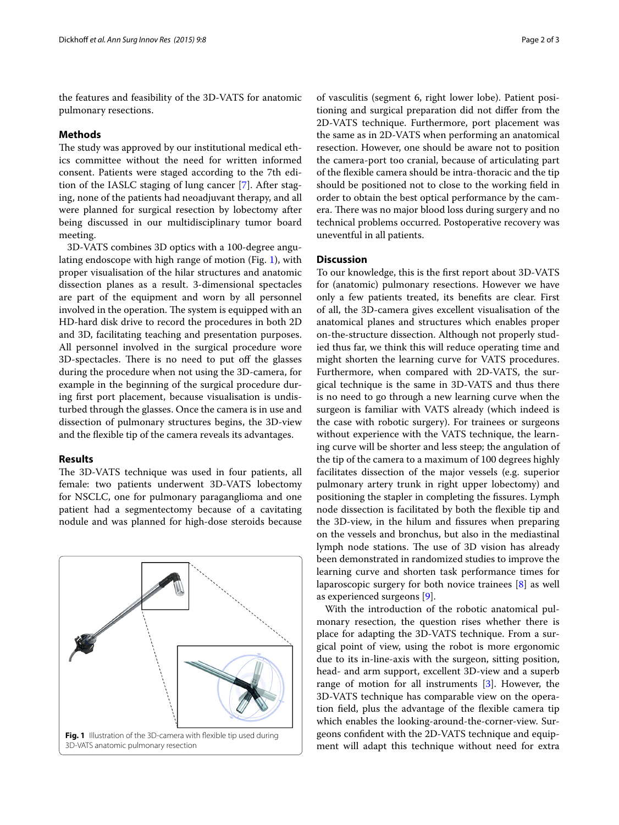the features and feasibility of the 3D-VATS for anatomic pulmonary resections.

### **Methods**

The study was approved by our institutional medical ethics committee without the need for written informed consent. Patients were staged according to the 7th edition of the IASLC staging of lung cancer [[7\]](#page-2-6). After staging, none of the patients had neoadjuvant therapy, and all were planned for surgical resection by lobectomy after being discussed in our multidisciplinary tumor board meeting.

3D-VATS combines 3D optics with a 100-degree angulating endoscope with high range of motion (Fig. [1](#page-1-0)), with proper visualisation of the hilar structures and anatomic dissection planes as a result. 3-dimensional spectacles are part of the equipment and worn by all personnel involved in the operation. The system is equipped with an HD-hard disk drive to record the procedures in both 2D and 3D, facilitating teaching and presentation purposes. All personnel involved in the surgical procedure wore 3D-spectacles. There is no need to put off the glasses during the procedure when not using the 3D-camera, for example in the beginning of the surgical procedure during first port placement, because visualisation is undisturbed through the glasses. Once the camera is in use and dissection of pulmonary structures begins, the 3D-view and the flexible tip of the camera reveals its advantages.

#### **Results**

The 3D-VATS technique was used in four patients, all female: two patients underwent 3D-VATS lobectomy for NSCLC, one for pulmonary paraganglioma and one patient had a segmentectomy because of a cavitating nodule and was planned for high-dose steroids because

<span id="page-1-0"></span>

of vasculitis (segment 6, right lower lobe). Patient positioning and surgical preparation did not differ from the 2D-VATS technique. Furthermore, port placement was the same as in 2D-VATS when performing an anatomical resection. However, one should be aware not to position the camera-port too cranial, because of articulating part of the flexible camera should be intra-thoracic and the tip should be positioned not to close to the working field in order to obtain the best optical performance by the camera. There was no major blood loss during surgery and no technical problems occurred. Postoperative recovery was uneventful in all patients.

## **Discussion**

To our knowledge, this is the first report about 3D-VATS for (anatomic) pulmonary resections. However we have only a few patients treated, its benefits are clear. First of all, the 3D-camera gives excellent visualisation of the anatomical planes and structures which enables proper on-the-structure dissection. Although not properly studied thus far, we think this will reduce operating time and might shorten the learning curve for VATS procedures. Furthermore, when compared with 2D-VATS, the surgical technique is the same in 3D-VATS and thus there is no need to go through a new learning curve when the surgeon is familiar with VATS already (which indeed is the case with robotic surgery). For trainees or surgeons without experience with the VATS technique, the learning curve will be shorter and less steep; the angulation of the tip of the camera to a maximum of 100 degrees highly facilitates dissection of the major vessels (e.g. superior pulmonary artery trunk in right upper lobectomy) and positioning the stapler in completing the fissures. Lymph node dissection is facilitated by both the flexible tip and the 3D-view, in the hilum and fissures when preparing on the vessels and bronchus, but also in the mediastinal lymph node stations. The use of 3D vision has already been demonstrated in randomized studies to improve the learning curve and shorten task performance times for laparoscopic surgery for both novice trainees [\[8](#page-2-7)] as well as experienced surgeons [\[9](#page-2-8)].

With the introduction of the robotic anatomical pulmonary resection, the question rises whether there is place for adapting the 3D-VATS technique. From a surgical point of view, using the robot is more ergonomic due to its in-line-axis with the surgeon, sitting position, head- and arm support, excellent 3D-view and a superb range of motion for all instruments [\[3](#page-2-2)]. However, the 3D-VATS technique has comparable view on the operation field, plus the advantage of the flexible camera tip which enables the looking-around-the-corner-view. Surgeons confident with the 2D-VATS technique and equipment will adapt this technique without need for extra